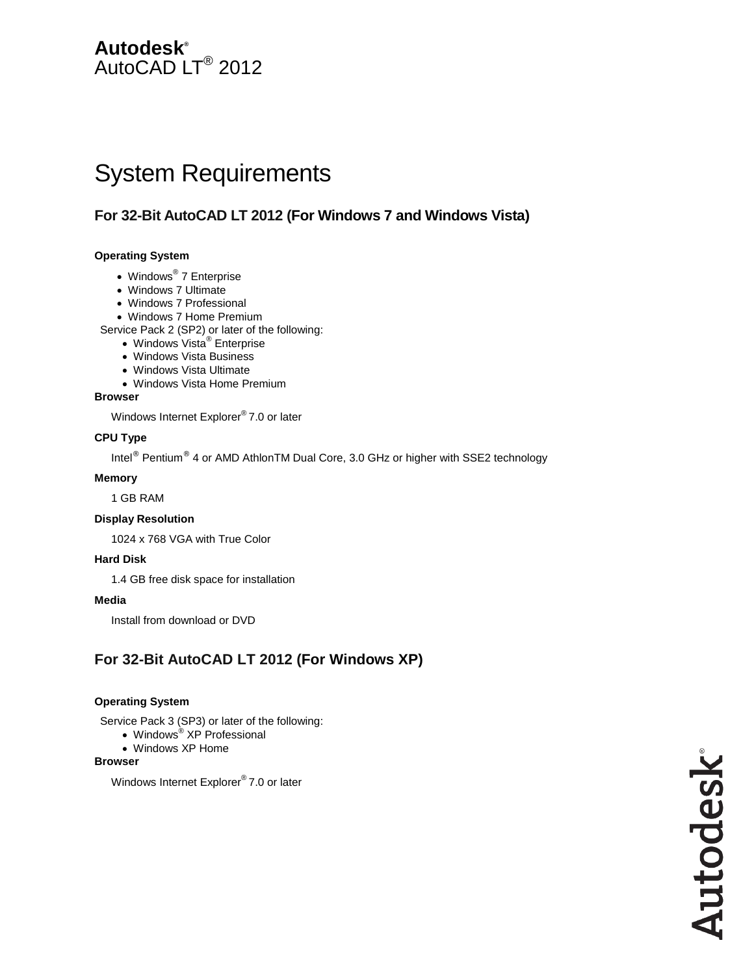## **Autodesk®** AutoCAD LT<sup>®</sup> 2012

# System Requirements

## **For 32-Bit AutoCAD LT 2012 (For Windows 7 and Windows Vista)**

#### **Operating System**

- Windows<sup>®</sup> 7 Enterprise
- Windows 7 Ultimate
- Windows 7 Professional
- Windows 7 Home Premium

Service Pack 2 (SP2) or later of the following:

- Windows Vista<sup>®</sup> Enterprise
- Windows Vista Business
- Windows Vista Ultimate
- Windows Vista Home Premium

#### **Browser**

Windows Internet Explorer® 7.0 or later

#### **CPU Type**

Intel® Pentium® 4 or AMD AthlonTM Dual Core, 3.0 GHz or higher with SSE2 technology

#### **Memory**

1 GB RAM

#### **Display Resolution**

1024 x 768 VGA with True Color

#### **Hard Disk**

1.4 GB free disk space for installation

#### **Media**

Install from download or DVD

## **For 32-Bit AutoCAD LT 2012 (For Windows XP)**

#### **Operating System**

Service Pack 3 (SP3) or later of the following:

- Windows<sup>®</sup> XP Professional
- Windows XP Home

#### **Browser**

Windows Internet Explorer® 7.0 or later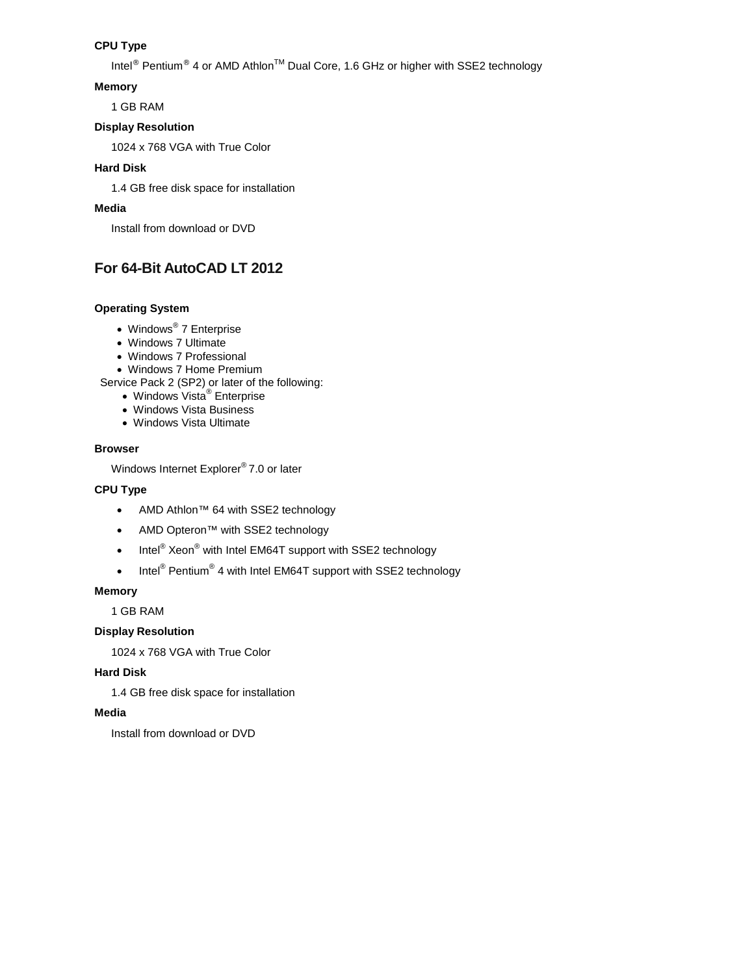#### **CPU Type**

Intel<sup>®</sup> Pentium<sup>®</sup> 4 or AMD Athlon<sup>™</sup> Dual Core, 1.6 GHz or higher with SSE2 technology

#### **Memory**

1 GB RAM

#### **Display Resolution**

1024 x 768 VGA with True Color

#### **Hard Disk**

1.4 GB free disk space for installation

#### **Media**

Install from download or DVD

## **For 64-Bit AutoCAD LT 2012**

#### **Operating System**

- Windows® 7 Enterprise
- Windows 7 Ultimate
- Windows 7 Professional
- Windows 7 Home Premium
- Service Pack 2 (SP2) or later of the following:
	- Windows Vista<sup>®</sup> Enterprise
	- Windows Vista Business
	- Windows Vista Ultimate

#### **Browser**

Windows Internet Explorer® 7.0 or later

#### **CPU Type**

- AMD Athlon™ 64 with SSE2 technology
- AMD Opteron™ with SSE2 technology
- Intel<sup>®</sup> Xeon<sup>®</sup> with Intel EM64T support with SSE2 technology
- Intel<sup>®</sup> Pentium<sup>®</sup> 4 with Intel EM64T support with SSE2 technology

#### **Memory**

1 GB RAM

#### **Display Resolution**

1024 x 768 VGA with True Color

#### **Hard Disk**

1.4 GB free disk space for installation

#### **Media**

Install from download or DVD